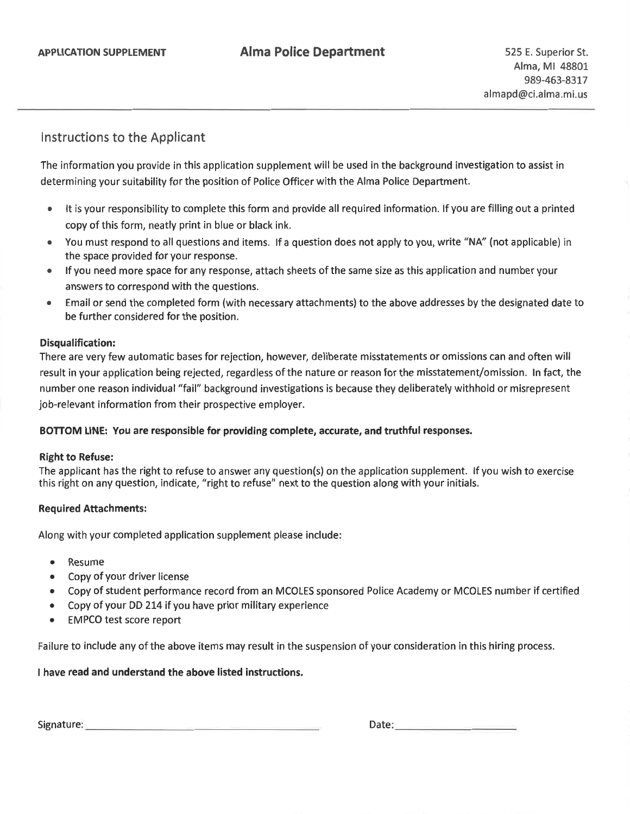### **Alma Police Department**

### Instructions to the Applicant

The information you provide in this application supplement will be used in the background investigation to assist in determining your suitability for the position of Police Officer with the Alma Police Department.

- It is your responsibility to complete this form and provide all required information. If you are filling out a printed  $\bullet$ copy of this form, neatly print in blue or black ink.
- $\bullet$ You must respond to all questions and items. If a question does not apply to you, write "NA" (not applicable) in the space provided for your response.
- If you need more space for any response, attach sheets of the same size as this application and number your  $\bullet$ answers to correspond with the questions.
- Email or send the completed form (with necessary attachments) to the above addresses by the designated date to  $\bullet$ be further considered for the position.

#### **Disqualification:**

There are very few automatic bases for rejection, however, deliberate misstatements or omissions can and often will result in your application being rejected, regardless of the nature or reason for the misstatement/omission. In fact, the number one reason individual "fail" background investigations is because they deliberately withhold or misrepresent job-relevant information from their prospective employer.

#### BOTTOM LINE: You are responsible for providing complete, accurate, and truthful responses.

#### **Right to Refuse:**

The applicant has the right to refuse to answer any question(s) on the application supplement. If you wish to exercise this right on any question, indicate, "right to refuse" next to the question along with your initials.

#### **Required Attachments:**

Along with your completed application supplement please include:

- Resume
- Copy of your driver license
- Copy of student performance record from an MCOLES sponsored Police Academy or MCOLES number if certified  $\bullet$
- Copy of your DD 214 if you have prior military experience
- EMPCO test score report

Failure to include any of the above items may result in the suspension of your consideration in this hiring process.

#### I have read and understand the above listed instructions.

Signature:

| Date: |  |  |  |
|-------|--|--|--|
|       |  |  |  |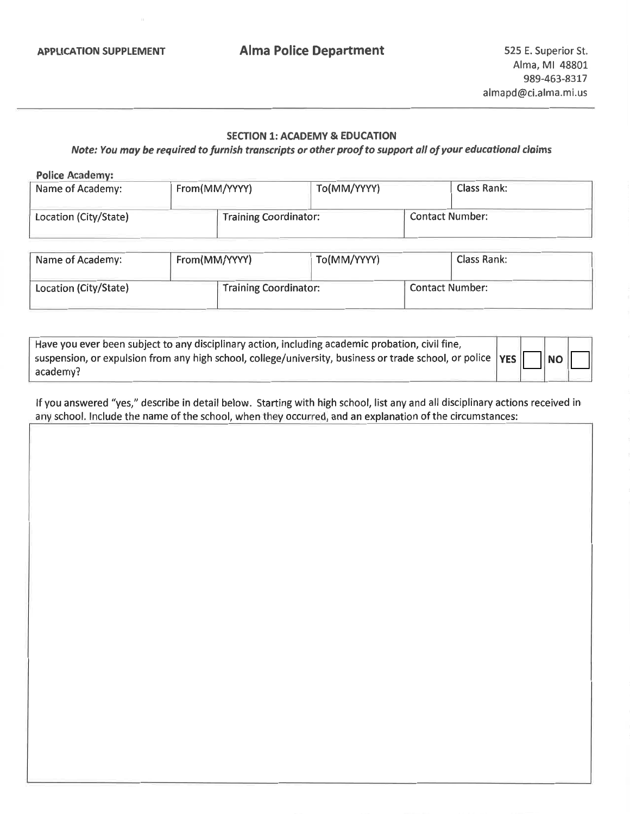#### **SECTION 1: ACADEMY & EDUCATION**

Note: You may be required to furnish transcripts or other proof to support all of your educational claims

| <b>Police Academy:</b> |               |                              |             |                        |             |  |
|------------------------|---------------|------------------------------|-------------|------------------------|-------------|--|
| Name of Academy:       | From(MM/YYYY) |                              | To(MM/YYYY) |                        | Class Rank: |  |
| Location (City/State)  |               | <b>Training Coordinator:</b> |             | <b>Contact Number:</b> |             |  |

| From(MM/YYYY)<br>Name of Academy: |  |                              | To(MM/YYYY) |                        | Class Rank: |
|-----------------------------------|--|------------------------------|-------------|------------------------|-------------|
| Location (City/State)             |  | <b>Training Coordinator:</b> |             | <b>Contact Number:</b> |             |

| Have you ever been subject to any disciplinary action, including academic probation, civil fine,<br>Have you ever been subject to any disciplinary action, including academic probation, civil fine,<br>suspension, or expulsion from any high school, college/university, business or trade school, or police $\sqrt{YS}$ |  |                          |  |
|----------------------------------------------------------------------------------------------------------------------------------------------------------------------------------------------------------------------------------------------------------------------------------------------------------------------------|--|--------------------------|--|
|                                                                                                                                                                                                                                                                                                                            |  |                          |  |
| academy?                                                                                                                                                                                                                                                                                                                   |  | <u> La Tarta de la T</u> |  |

If you answered "yes," describe in detail below. Starting with high school, list any and all disciplinary actions received in any school. Include the name of the school, when they occurred, and an explanation of the circumstances: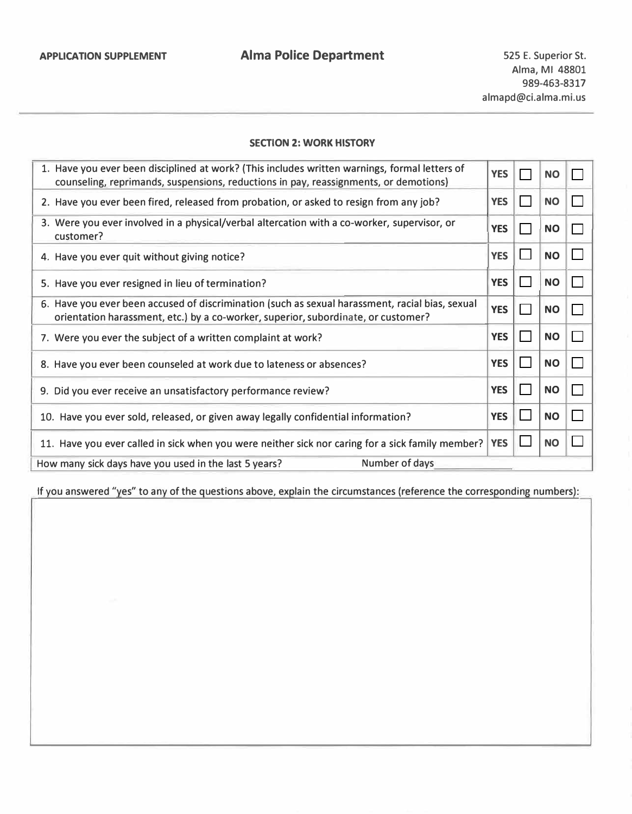#### **SECTION 2: WORK HISTORY**

| 1. Have you ever been disciplined at work? (This includes written warnings, formal letters of<br>counseling, reprimands, suspensions, reductions in pay, reassignments, or demotions) | <b>YES</b> | <b>NO</b> |  |
|---------------------------------------------------------------------------------------------------------------------------------------------------------------------------------------|------------|-----------|--|
| 2. Have you ever been fired, released from probation, or asked to resign from any job?                                                                                                | <b>YES</b> | <b>NO</b> |  |
| 3. Were you ever involved in a physical/verbal altercation with a co-worker, supervisor, or<br>customer?                                                                              | <b>YES</b> | <b>NO</b> |  |
| 4. Have you ever quit without giving notice?                                                                                                                                          | <b>YES</b> | <b>NO</b> |  |
| 5. Have you ever resigned in lieu of termination?                                                                                                                                     | <b>YES</b> | <b>NO</b> |  |
| 6. Have you ever been accused of discrimination (such as sexual harassment, racial bias, sexual<br>orientation harassment, etc.) by a co-worker, superior, subordinate, or customer?  | <b>YES</b> | <b>NO</b> |  |
| 7. Were you ever the subject of a written complaint at work?                                                                                                                          | <b>YES</b> | <b>NO</b> |  |
| 8. Have you ever been counseled at work due to lateness or absences?                                                                                                                  | <b>YES</b> | <b>NO</b> |  |
| 9. Did you ever receive an unsatisfactory performance review?                                                                                                                         | <b>YES</b> | <b>NO</b> |  |
| 10. Have you ever sold, released, or given away legally confidential information?                                                                                                     | <b>YES</b> | <b>NO</b> |  |
| 11. Have you ever called in sick when you were neither sick nor caring for a sick family member?                                                                                      | <b>YES</b> | <b>NO</b> |  |
| Number of days<br>How many sick days have you used in the last 5 years?                                                                                                               |            |           |  |
|                                                                                                                                                                                       |            |           |  |

If you answered "yes" to any of the questions above, explain the circumstances (reference the corresponding numbers):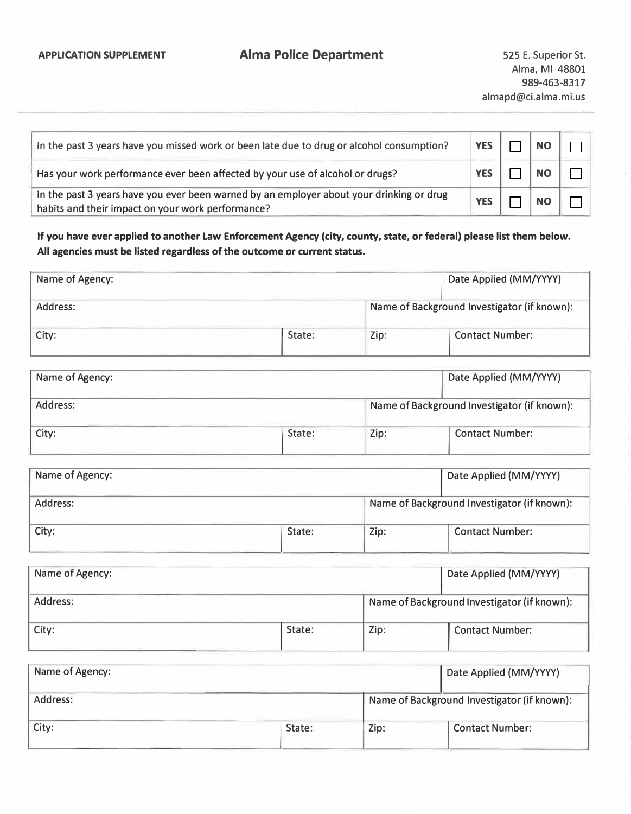### **APPLICATION SUPPLEMENT Alma Police Department** 525 E. Superior St.

| In the past 3 years have you missed work or been late due to drug or alcohol consumption?                                                     | <b>YES</b> | <b>NO</b> |  |
|-----------------------------------------------------------------------------------------------------------------------------------------------|------------|-----------|--|
| Has your work performance ever been affected by your use of alcohol or drugs?                                                                 | YES        | <b>NO</b> |  |
| In the past 3 years have you ever been warned by an employer about your drinking or drug<br>habits and their impact on your work performance? | <b>YES</b> | <b>NO</b> |  |

**If you have ever applied to another Law Enforcement Agency (city, county, state, or federal) please list them below. All agencies must be listed regardless of the outcome or current status.** 

| <u>, ,,, applicities lines we have a reparaless of the ownestine or early site states.</u> |        |      |                                             |
|--------------------------------------------------------------------------------------------|--------|------|---------------------------------------------|
| Name of Agency:                                                                            |        |      | Date Applied (MM/YYYY)                      |
| Address:                                                                                   |        |      | Name of Background Investigator (if known): |
| City:                                                                                      | State: | Zip: | <b>Contact Number:</b>                      |

| Name of Agency: |        |      | Date Applied (MM/YYYY)                      |
|-----------------|--------|------|---------------------------------------------|
| Address:        |        |      | Name of Background Investigator (if known): |
| City:           | State: | Zip: | <b>Contact Number:</b>                      |

| Name of Agency: |        |      | Date Applied (MM/YYYY)                      |
|-----------------|--------|------|---------------------------------------------|
| Address:        |        |      | Name of Background Investigator (if known): |
| City:           | State: | Zip: | <b>Contact Number:</b>                      |

| Name of Agency: |        |                                             | Date Applied (MM/YYYY) |  |
|-----------------|--------|---------------------------------------------|------------------------|--|
| Address:        |        | Name of Background Investigator (if known): |                        |  |
| City:           | State: | Zip:                                        | <b>Contact Number:</b> |  |

| Name of Agency: |        |                                             | Date Applied (MM/YYYY) |  |  |
|-----------------|--------|---------------------------------------------|------------------------|--|--|
| Address:        |        | Name of Background Investigator (if known): |                        |  |  |
| City:           | State: | Zip:                                        | <b>Contact Number:</b> |  |  |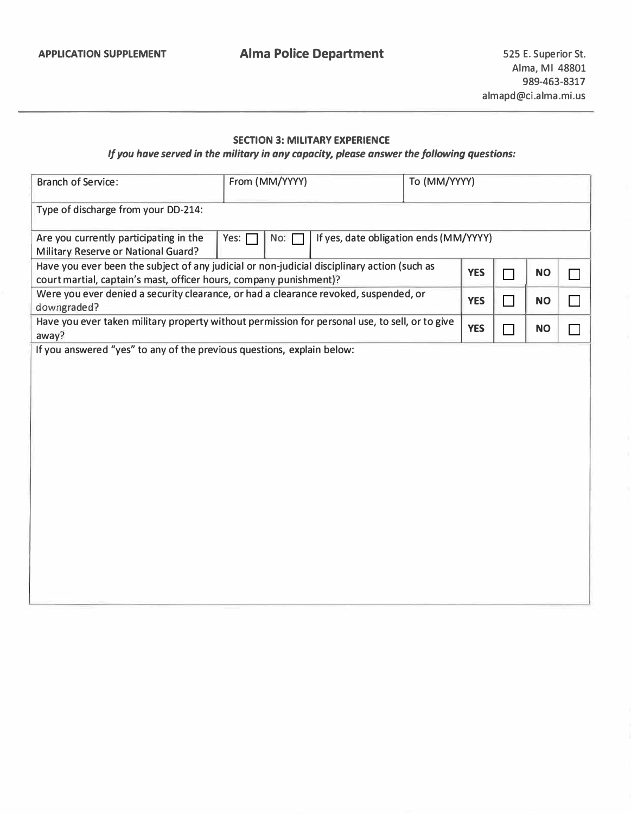#### **SECTION 3: MILITARY EXPERIENCE**

*If you have served in the military in any capacity, please answer the following questions:* 

| <b>Branch of Service:</b>                                                                                                                                         | To (MM/YYYY)<br>From (MM/YYYY) |                                        |            |                             |               |           |  |
|-------------------------------------------------------------------------------------------------------------------------------------------------------------------|--------------------------------|----------------------------------------|------------|-----------------------------|---------------|-----------|--|
| Type of discharge from your DD-214:                                                                                                                               |                                |                                        |            |                             |               |           |  |
| Are you currently participating in the<br><b>Military Reserve or National Guard?</b>                                                                              | Yes:<br>No:                    | If yes, date obligation ends (MM/YYYY) |            |                             |               |           |  |
| Have you ever been the subject of any judicial or non-judicial disciplinary action (such as<br>court martial, captain's mast, officer hours, company punishment)? |                                |                                        | <b>YES</b> | $\Box$                      | <b>NO</b>     |           |  |
| Were you ever denied a security clearance, or had a clearance revoked, suspended, or<br>downgraded?                                                               |                                |                                        | <b>YES</b> | $\mathcal{L}_{\mathcal{A}}$ | <b>NO</b>     |           |  |
| Have you ever taken military property without permission for personal use, to sell, or to give<br>away?                                                           |                                |                                        |            | <b>YES</b>                  | $\mathcal{L}$ | <b>NO</b> |  |
| If you answered "yes" to any of the previous questions, explain below:                                                                                            |                                |                                        |            |                             |               |           |  |
|                                                                                                                                                                   |                                |                                        |            |                             |               |           |  |
|                                                                                                                                                                   |                                |                                        |            |                             |               |           |  |
|                                                                                                                                                                   |                                |                                        |            |                             |               |           |  |
|                                                                                                                                                                   |                                |                                        |            |                             |               |           |  |
|                                                                                                                                                                   |                                |                                        |            |                             |               |           |  |
|                                                                                                                                                                   |                                |                                        |            |                             |               |           |  |
|                                                                                                                                                                   |                                |                                        |            |                             |               |           |  |
|                                                                                                                                                                   |                                |                                        |            |                             |               |           |  |
|                                                                                                                                                                   |                                |                                        |            |                             |               |           |  |
|                                                                                                                                                                   |                                |                                        |            |                             |               |           |  |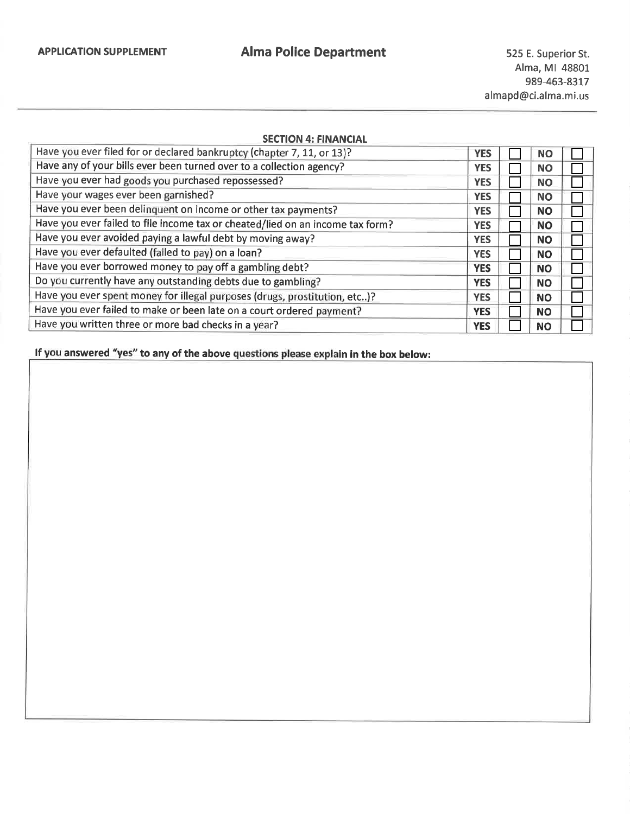## **Alma Police Department**

525 E. Superior St. Alma, MI 48801 989-463-8317 almapd@ci.alma.mi.us

#### **SECTION 4: FINANCIAL**

| Have you ever filed for or declared bankruptcy (chapter 7, 11, or 13)?         | <b>YES</b> | <b>NO</b> |  |
|--------------------------------------------------------------------------------|------------|-----------|--|
| Have any of your bills ever been turned over to a collection agency?           | <b>YES</b> | <b>NO</b> |  |
| Have you ever had goods you purchased repossessed?                             | <b>YES</b> | <b>NO</b> |  |
| Have your wages ever been garnished?                                           | <b>YES</b> | <b>NO</b> |  |
| Have you ever been delinquent on income or other tax payments?                 | <b>YES</b> | <b>NO</b> |  |
| Have you ever failed to file income tax or cheated/lied on an income tax form? | <b>YES</b> | <b>NO</b> |  |
| Have you ever avoided paying a lawful debt by moving away?                     | <b>YES</b> | <b>NO</b> |  |
| Have you ever defaulted (failed to pay) on a loan?                             | <b>YES</b> | <b>NO</b> |  |
| Have you ever borrowed money to pay off a gambling debt?                       | <b>YES</b> | <b>NO</b> |  |
| Do you currently have any outstanding debts due to gambling?                   | <b>YES</b> | <b>NO</b> |  |
| Have you ever spent money for illegal purposes (drugs, prostitution, etc)?     | <b>YES</b> | <b>NO</b> |  |
| Have you ever failed to make or been late on a court ordered payment?          | <b>YES</b> | <b>NO</b> |  |
| Have you written three or more bad checks in a year?                           | <b>YES</b> | <b>NO</b> |  |

If you answered "yes" to any of the above questions please explain in the box below: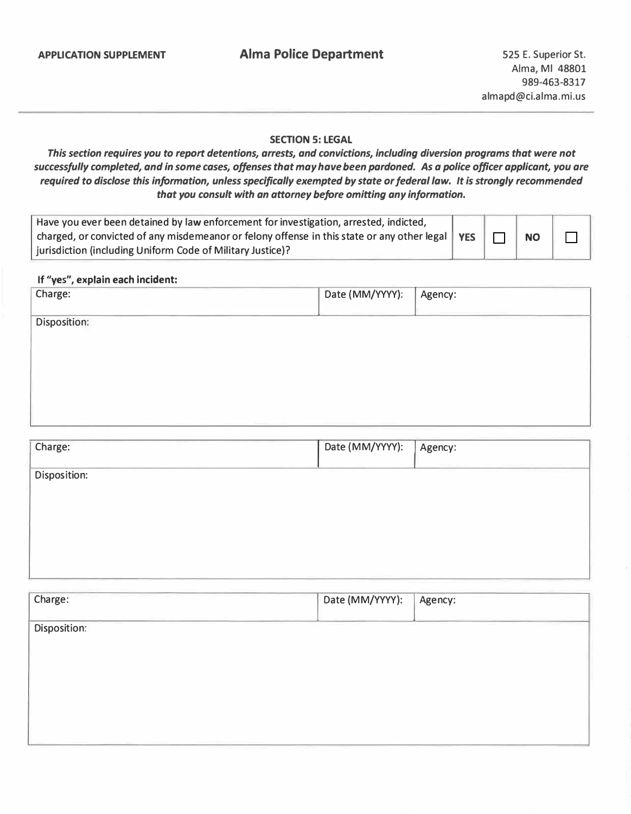#### **SECTION 5: LEGAL**

*This section requires you to report detentions, arrests, and convictions, including diversion programs that were not successfully completed, and in some cases, offenses that may have been pardoned. As a police officer applicant, you are required to disclose this information, unless specifically exempted by state or federal law. It is strongly recommended that you consult with an attorney before omitting any information.* 

| Have you ever been detained by law enforcement for investigation, arrested, indicted,                     |            |           |  |
|-----------------------------------------------------------------------------------------------------------|------------|-----------|--|
| $\mid$ charged, or convicted of any misdemeanor or felony offense in this state or any other legal $\mid$ | <b>YES</b> | <b>NO</b> |  |
| jurisdiction (including Uniform Code of Military Justice)?                                                |            |           |  |

#### **If "yes", explain each incident:**

| If "yes", explain each incident: |                                   |         |  |  |  |  |
|----------------------------------|-----------------------------------|---------|--|--|--|--|
| Charge:                          | Date (MM/YYYY):                   | Agency: |  |  |  |  |
|                                  | and the control of the control of |         |  |  |  |  |
| Disposition:                     |                                   |         |  |  |  |  |
|                                  |                                   |         |  |  |  |  |
|                                  |                                   |         |  |  |  |  |
|                                  |                                   |         |  |  |  |  |
|                                  |                                   |         |  |  |  |  |
|                                  |                                   |         |  |  |  |  |
|                                  |                                   |         |  |  |  |  |

| Charge:      | Date (MM/YYYY): | Agency: |
|--------------|-----------------|---------|
| Disposition: |                 |         |
|              |                 |         |
|              |                 |         |
|              |                 |         |
|              |                 |         |
|              |                 |         |

| Charge:      | Date (MM/YYYY): | Agency: |
|--------------|-----------------|---------|
| Disposition: |                 |         |
|              |                 |         |
|              |                 |         |
|              |                 |         |
|              |                 |         |
|              |                 |         |
|              |                 |         |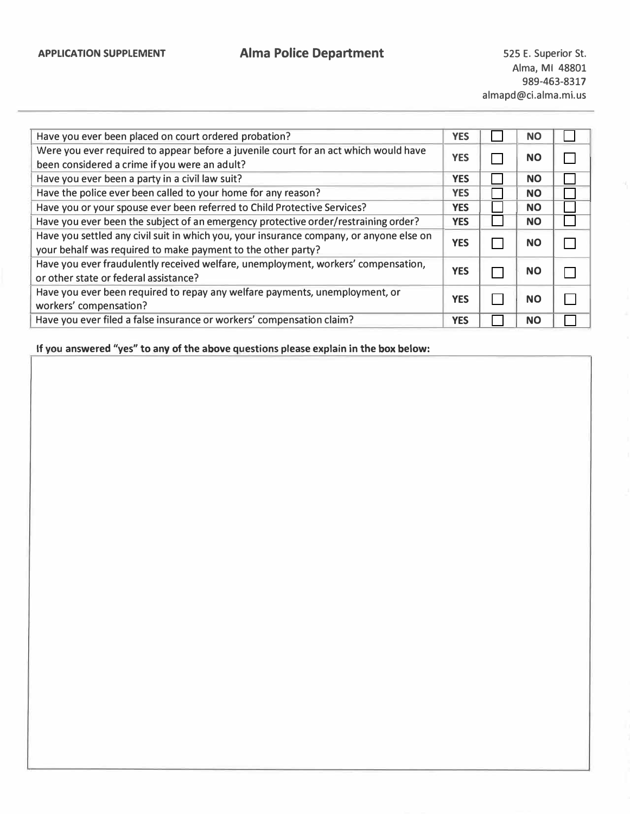525 E. Superior St. Alma, Ml 48801 989-463-8317 almapd@ci.alma.mi.us

| Have you ever been placed on court ordered probation?                                   | <b>YES</b> |   | <b>NO</b> |  |
|-----------------------------------------------------------------------------------------|------------|---|-----------|--|
| Were you ever required to appear before a juvenile court for an act which would have    | <b>YES</b> |   | <b>NO</b> |  |
| been considered a crime if you were an adult?                                           |            |   |           |  |
| Have you ever been a party in a civil law suit?                                         | <b>YES</b> |   | <b>NO</b> |  |
| Have the police ever been called to your home for any reason?                           | <b>YES</b> |   | <b>NO</b> |  |
| Have you or your spouse ever been referred to Child Protective Services?                | <b>YES</b> |   | <b>NO</b> |  |
| Have you ever been the subject of an emergency protective order/restraining order?      | <b>YES</b> |   | <b>NO</b> |  |
| Have you settled any civil suit in which you, your insurance company, or anyone else on | <b>YES</b> |   | <b>NO</b> |  |
| your behalf was required to make payment to the other party?                            |            |   |           |  |
| Have you ever fraudulently received welfare, unemployment, workers' compensation,       | <b>YES</b> |   |           |  |
| or other state or federal assistance?                                                   |            |   | <b>NO</b> |  |
| Have you ever been required to repay any welfare payments, unemployment, or             | <b>YES</b> |   |           |  |
| workers' compensation?                                                                  |            | L | <b>NO</b> |  |
| Have you ever filed a false insurance or workers' compensation claim?                   | <b>YES</b> |   | <b>NO</b> |  |
|                                                                                         |            |   |           |  |

**If you answered "yes" to any of the above questions please explain in the box below:**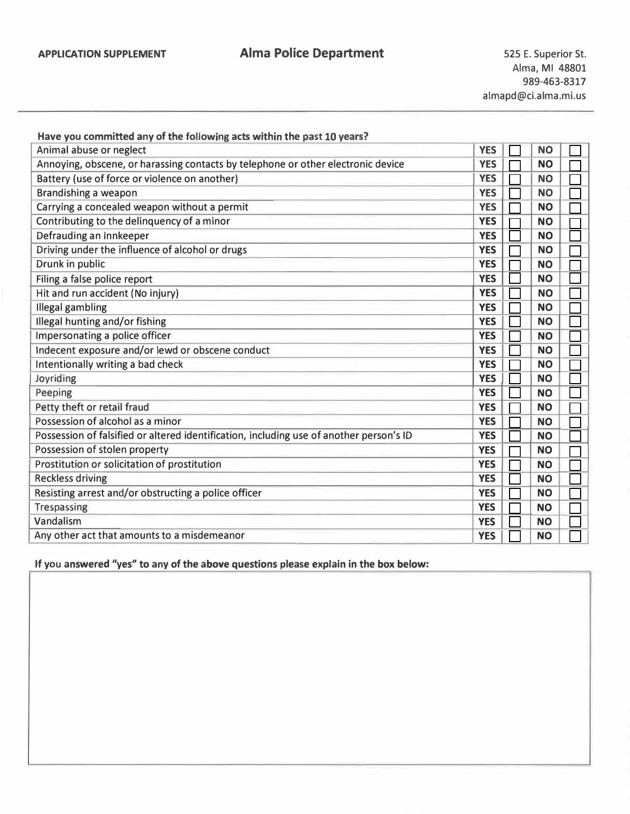525 E. Superior St. Alma, Ml 48801 989-463-8317 almapd@ci.alma.mi.us

| Have you committed any of the following acts within the past 10 years?                  |            |           |  |
|-----------------------------------------------------------------------------------------|------------|-----------|--|
| Animal abuse or neglect                                                                 | <b>YES</b> | <b>NO</b> |  |
| Annoying, obscene, or harassing contacts by telephone or other electronic device        | <b>YES</b> | <b>NO</b> |  |
| Battery (use of force or violence on another)                                           | <b>YES</b> | <b>NO</b> |  |
| <b>Brandishing a weapon</b>                                                             | <b>YES</b> | <b>NO</b> |  |
| Carrying a concealed weapon without a permit                                            | <b>YES</b> | <b>NO</b> |  |
| Contributing to the delinquency of a minor                                              | <b>YES</b> | <b>NO</b> |  |
| Defrauding an Innkeeper                                                                 | <b>YES</b> | <b>NO</b> |  |
| Driving under the influence of alcohol or drugs                                         | <b>YES</b> | <b>NO</b> |  |
| Drunk in public                                                                         | <b>YES</b> | <b>NO</b> |  |
| Filing a false police report                                                            | <b>YES</b> | <b>NO</b> |  |
| Hit and run accident (No injury)                                                        | <b>YES</b> | <b>NO</b> |  |
| <b>Illegal gambling</b>                                                                 | <b>YES</b> | <b>NO</b> |  |
| Illegal hunting and/or fishing                                                          | <b>YES</b> | <b>NO</b> |  |
| Impersonating a police officer                                                          | <b>YES</b> | <b>NO</b> |  |
| Indecent exposure and/or lewd or obscene conduct                                        | <b>YES</b> | <b>NO</b> |  |
| Intentionally writing a bad check                                                       | <b>YES</b> | <b>NO</b> |  |
| Joyriding                                                                               | <b>YES</b> | <b>NO</b> |  |
| Peeping                                                                                 | <b>YES</b> | <b>NO</b> |  |
| Petty theft or retail fraud                                                             | <b>YES</b> | <b>NO</b> |  |
| Possession of alcohol as a minor                                                        | <b>YES</b> | <b>NO</b> |  |
| Possession of falsified or altered identification, including use of another person's ID | <b>YES</b> | <b>NO</b> |  |
| Possession of stolen property                                                           | <b>YES</b> | <b>NO</b> |  |
| Prostitution or solicitation of prostitution                                            | <b>YES</b> | <b>NO</b> |  |
| <b>Reckless driving</b>                                                                 | <b>YES</b> | <b>NO</b> |  |
| Resisting arrest and/or obstructing a police officer                                    | <b>YES</b> | <b>NO</b> |  |
| Trespassing                                                                             | <b>YES</b> | <b>NO</b> |  |
| Vandalism                                                                               | <b>YES</b> | <b>NO</b> |  |
| Any other act that amounts to a misdemeanor                                             | <b>YES</b> | <b>NO</b> |  |

If you answered "yes" to any of the above questions please explain in the box below: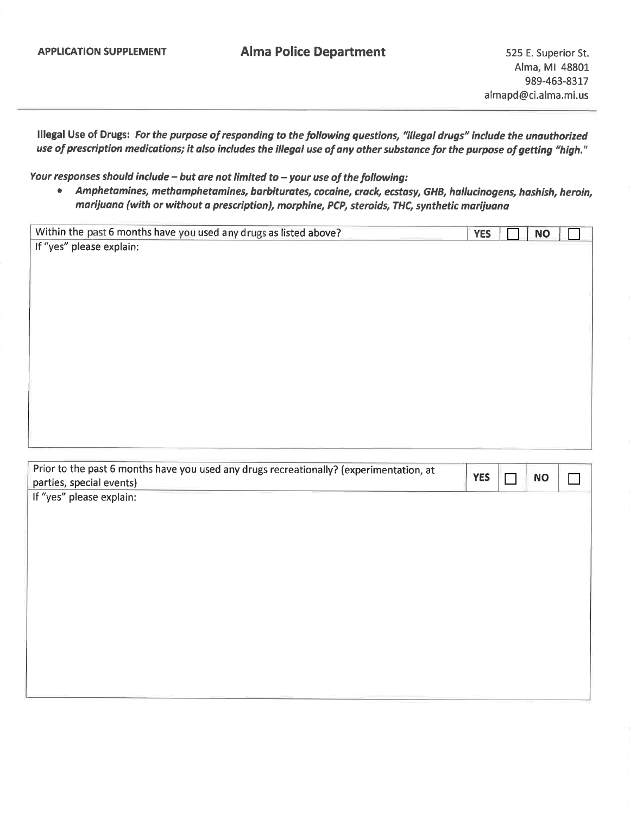Illegal Use of Drugs: For the purpose of responding to the following questions, "illegal drugs" include the unauthorized use of prescription medications; it also includes the illegal use of any other substance for the purpose of getting "high."

Your responses should include - but are not limited to - your use of the following:

· Amphetamines, methamphetamines, barbiturates, cocaine, crack, ecstasy, GHB, hallucinogens, hashish, heroin, marijuana (with or without a prescription), morphine, PCP, steroids, THC, synthetic marijuana

| Within the past 6 months have you used any drugs as listed above? | <b>YES</b> | <b>NO</b> |  |
|-------------------------------------------------------------------|------------|-----------|--|
| If "yes" please explain:                                          |            |           |  |
|                                                                   |            |           |  |
|                                                                   |            |           |  |
|                                                                   |            |           |  |
|                                                                   |            |           |  |
|                                                                   |            |           |  |
|                                                                   |            |           |  |
|                                                                   |            |           |  |
|                                                                   |            |           |  |
|                                                                   |            |           |  |
|                                                                   |            |           |  |
|                                                                   |            |           |  |
|                                                                   |            |           |  |
|                                                                   |            |           |  |
|                                                                   |            |           |  |
|                                                                   |            |           |  |

| Prior to the past 6 months have you used any drugs recreationally? (experimentation, at | <b>YES</b> | <b>NO</b> |  |
|-----------------------------------------------------------------------------------------|------------|-----------|--|
| parties, special events)                                                                |            |           |  |
| If "yes" please explain:                                                                |            |           |  |
|                                                                                         |            |           |  |
|                                                                                         |            |           |  |
|                                                                                         |            |           |  |
|                                                                                         |            |           |  |
|                                                                                         |            |           |  |
|                                                                                         |            |           |  |
|                                                                                         |            |           |  |
|                                                                                         |            |           |  |
|                                                                                         |            |           |  |
|                                                                                         |            |           |  |
|                                                                                         |            |           |  |
|                                                                                         |            |           |  |
|                                                                                         |            |           |  |
|                                                                                         |            |           |  |
|                                                                                         |            |           |  |
|                                                                                         |            |           |  |
|                                                                                         |            |           |  |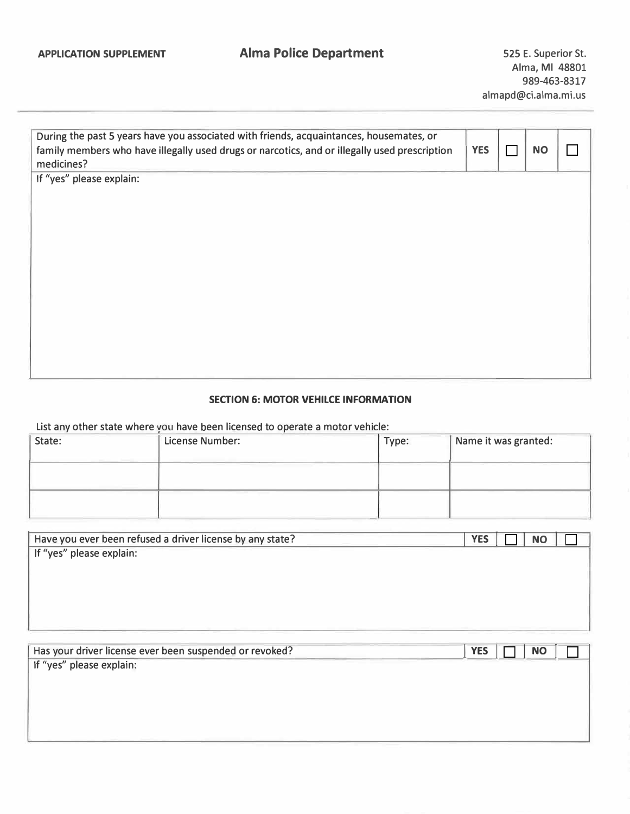525 E. Superior St. Alma, Ml 48801 989-463-8317 almapd@ci.alma.mi.us

| During the past 5 years have you associated with friends, acquaintances, housemates, or<br>family members who have illegally used drugs or narcotics, and or illegally used prescription<br>medicines? | <b>YES</b> | <b>NO</b> |  |
|--------------------------------------------------------------------------------------------------------------------------------------------------------------------------------------------------------|------------|-----------|--|
| If "yes" please explain:                                                                                                                                                                               |            |           |  |
|                                                                                                                                                                                                        |            |           |  |
|                                                                                                                                                                                                        |            |           |  |
|                                                                                                                                                                                                        |            |           |  |
|                                                                                                                                                                                                        |            |           |  |
|                                                                                                                                                                                                        |            |           |  |
|                                                                                                                                                                                                        |            |           |  |
|                                                                                                                                                                                                        |            |           |  |
|                                                                                                                                                                                                        |            |           |  |
|                                                                                                                                                                                                        |            |           |  |

#### **SECTION 6: MOTOR VEHILCE INFORMATION**

## List any other state where you have been licensed to operate a motor vehicle:

| State: | License Number: | Type: | Name it was granted: |
|--------|-----------------|-------|----------------------|
|        |                 |       |                      |
|        |                 |       |                      |

| <b>YES</b> | <b>NO</b> |
|------------|-----------|
|            |           |
|            |           |
|            |           |
|            |           |
|            |           |
|            |           |

| Has your driver license ever been suspended or revoked? | <b>YES</b> | <b>NO</b> |  |
|---------------------------------------------------------|------------|-----------|--|
| If "yes" please explain:                                |            |           |  |
|                                                         |            |           |  |
|                                                         |            |           |  |
|                                                         |            |           |  |
|                                                         |            |           |  |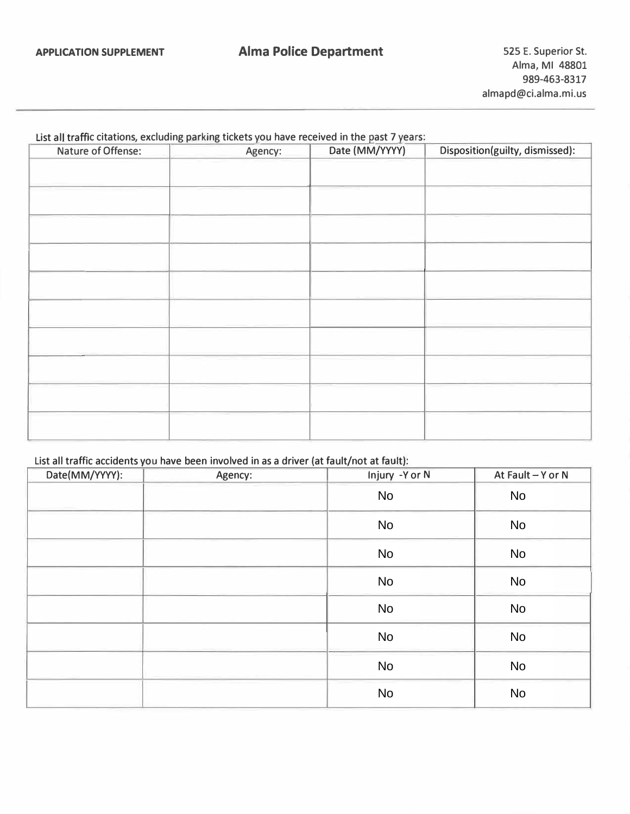| Nature of Offense: | Agency: | Date (MM/YYYY) | Disposition(guilty, dismissed): |
|--------------------|---------|----------------|---------------------------------|
|                    |         |                |                                 |
|                    |         |                |                                 |
|                    |         |                |                                 |
|                    |         |                |                                 |
|                    |         |                |                                 |
|                    |         |                |                                 |
|                    |         |                |                                 |
|                    |         |                |                                 |
|                    |         |                |                                 |
|                    |         |                |                                 |
|                    |         |                |                                 |
|                    |         |                |                                 |
|                    |         |                |                                 |
|                    |         |                |                                 |
|                    |         |                |                                 |
|                    |         |                |                                 |
|                    |         |                |                                 |
|                    |         |                |                                 |
|                    |         |                |                                 |

### List all traffic accidents you have been involved in as a driver (at fault/not at fault):

| Date(MM/YYYY): | Agency: | Injury -Y or N | At Fault - Y or N |
|----------------|---------|----------------|-------------------|
|                |         | No             | No                |
|                |         | No             | No                |
|                |         | No             | No                |
|                |         | No             | No                |
|                |         | No             | No                |
|                |         | No             | No                |
|                |         | No             | No                |
|                |         | No             | No                |